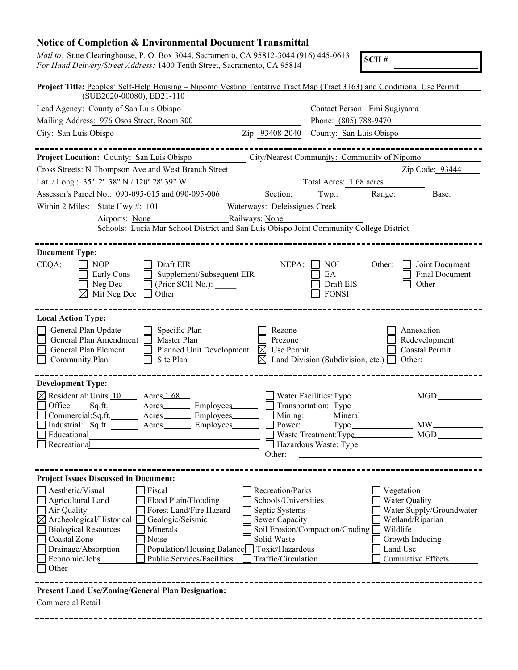## **Notice of Completion & Environmental Document Transmittal**

| Mail to: State Clearinghouse, P. O. Box 3044, Sacramento, CA 95812-3044 (916) 445-0613<br>SCH#<br>For Hand Delivery/Street Address: 1400 Tenth Street, Sacramento, CA 95814                                                                                                                                                                                                                                                                                                                                                                                                                                                                                                              |  |  |  |  |  |
|------------------------------------------------------------------------------------------------------------------------------------------------------------------------------------------------------------------------------------------------------------------------------------------------------------------------------------------------------------------------------------------------------------------------------------------------------------------------------------------------------------------------------------------------------------------------------------------------------------------------------------------------------------------------------------------|--|--|--|--|--|
| Project Title: Peoples' Self-Help Housing – Nipomo Vesting Tentative Tract Map (Tract 3163) and Conditional Use Permit<br>(SUB2020-00080), ED21-110                                                                                                                                                                                                                                                                                                                                                                                                                                                                                                                                      |  |  |  |  |  |
| Lead Agency: County of San Luis Obispo<br>Contact Person: Emi Sugiyama                                                                                                                                                                                                                                                                                                                                                                                                                                                                                                                                                                                                                   |  |  |  |  |  |
| Phone: (805) 788-9470<br>Mailing Address: 976 Osos Street, Room 300                                                                                                                                                                                                                                                                                                                                                                                                                                                                                                                                                                                                                      |  |  |  |  |  |
| County: San Luis Obispo<br>City: San Luis Obispo<br>Zip: 93408-2040                                                                                                                                                                                                                                                                                                                                                                                                                                                                                                                                                                                                                      |  |  |  |  |  |
|                                                                                                                                                                                                                                                                                                                                                                                                                                                                                                                                                                                                                                                                                          |  |  |  |  |  |
| City/Nearest Community: Community of Nipomo<br>Project Location: County: San Luis Obispo                                                                                                                                                                                                                                                                                                                                                                                                                                                                                                                                                                                                 |  |  |  |  |  |
| Zip Code: 93444<br>Cross Streets: N Thompson Ave and West Branch Street                                                                                                                                                                                                                                                                                                                                                                                                                                                                                                                                                                                                                  |  |  |  |  |  |
| Lat. / Long.: 35° 2′ 38" N / 120° 28' 39" W<br>Total Acres: 1.68 acres                                                                                                                                                                                                                                                                                                                                                                                                                                                                                                                                                                                                                   |  |  |  |  |  |
| Assessor's Parcel No.: 090-095-015 and 090-095-006 Section: Twp.: Twp.: Range: Base: The Base:                                                                                                                                                                                                                                                                                                                                                                                                                                                                                                                                                                                           |  |  |  |  |  |
|                                                                                                                                                                                                                                                                                                                                                                                                                                                                                                                                                                                                                                                                                          |  |  |  |  |  |
| Railways: None<br>Airports: None                                                                                                                                                                                                                                                                                                                                                                                                                                                                                                                                                                                                                                                         |  |  |  |  |  |
| Schools: Lucia Mar School District and San Luis Obispo Joint Community College District                                                                                                                                                                                                                                                                                                                                                                                                                                                                                                                                                                                                  |  |  |  |  |  |
| <b>Document Type:</b><br>CEQA:<br>Draft EIR<br>NEPA:<br>Joint Document<br><b>NOP</b><br><b>NOI</b><br>Other:<br>Supplement/Subsequent EIR<br>EA<br>Final Document<br>Early Cons<br>Neg Dec<br>Draft EIS<br>(Prior SCH No.):<br>Other                                                                                                                                                                                                                                                                                                                                                                                                                                                     |  |  |  |  |  |
| <b>FONSI</b><br>Mit Neg Dec<br>Other                                                                                                                                                                                                                                                                                                                                                                                                                                                                                                                                                                                                                                                     |  |  |  |  |  |
|                                                                                                                                                                                                                                                                                                                                                                                                                                                                                                                                                                                                                                                                                          |  |  |  |  |  |
| <b>Local Action Type:</b><br>General Plan Update<br>Specific Plan<br>Rezone<br>Annexation<br>General Plan Amendment<br>Master Plan<br>Redevelopment<br>Prezone<br>General Plan Element<br>Planned Unit Development<br>Use Permit<br>Coastal Permit<br>M<br>Community Plan<br>Land Division (Subdivision, etc.) $\Box$ Other:<br>Site Plan<br>$\bowtie$                                                                                                                                                                                                                                                                                                                                   |  |  |  |  |  |
|                                                                                                                                                                                                                                                                                                                                                                                                                                                                                                                                                                                                                                                                                          |  |  |  |  |  |
| <b>Development Type:</b>                                                                                                                                                                                                                                                                                                                                                                                                                                                                                                                                                                                                                                                                 |  |  |  |  |  |
| $\boxtimes$ Residential: Units $10$ Acres 1.68<br>Water Facilities: Type ____________________ MGD_<br>Office:<br>Sq.ft.<br>Employees______                                                                                                                                                                                                                                                                                                                                                                                                                                                                                                                                               |  |  |  |  |  |
| Commercial:Sq.ft.<br>Mining:<br>Employees____<br>Mineral<br>Acres                                                                                                                                                                                                                                                                                                                                                                                                                                                                                                                                                                                                                        |  |  |  |  |  |
| $MW_{-}$<br>Industrial: Sq.ft.<br>Employees<br>Power:<br>Acres<br>Type.                                                                                                                                                                                                                                                                                                                                                                                                                                                                                                                                                                                                                  |  |  |  |  |  |
| Educational<br>Waste Treatment: Type<br>MGD                                                                                                                                                                                                                                                                                                                                                                                                                                                                                                                                                                                                                                              |  |  |  |  |  |
| Recreational<br>Hazardous Waste: Type<br>Other:                                                                                                                                                                                                                                                                                                                                                                                                                                                                                                                                                                                                                                          |  |  |  |  |  |
|                                                                                                                                                                                                                                                                                                                                                                                                                                                                                                                                                                                                                                                                                          |  |  |  |  |  |
| <b>Project Issues Discussed in Document:</b>                                                                                                                                                                                                                                                                                                                                                                                                                                                                                                                                                                                                                                             |  |  |  |  |  |
| Aesthetic/Visual<br>Recreation/Parks<br>Fiscal<br>Vegetation<br>Agricultural Land<br>Schools/Universities<br>Water Quality<br>Flood Plain/Flooding<br>Water Supply/Groundwater<br>Air Quality<br>Forest Land/Fire Hazard<br>Septic Systems<br>$\boxtimes$ Archeological/Historical<br>Geologic/Seismic<br>Wetland/Riparian<br>Sewer Capacity<br>Wildlife<br><b>Biological Resources</b><br>Soil Erosion/Compaction/Grading<br>Minerals<br>Noise<br>Coastal Zone<br>Solid Waste<br>Growth Inducing<br>Drainage/Absorption<br>Population/Housing Balance<br>Toxic/Hazardous<br>Land Use<br>Public Services/Facilities<br>Traffic/Circulation<br><b>Cumulative Effects</b><br>Economic/Jobs |  |  |  |  |  |
| Other                                                                                                                                                                                                                                                                                                                                                                                                                                                                                                                                                                                                                                                                                    |  |  |  |  |  |
| <b>Present Land Use/Zoning/General Plan Designation:</b>                                                                                                                                                                                                                                                                                                                                                                                                                                                                                                                                                                                                                                 |  |  |  |  |  |

Commercial Retail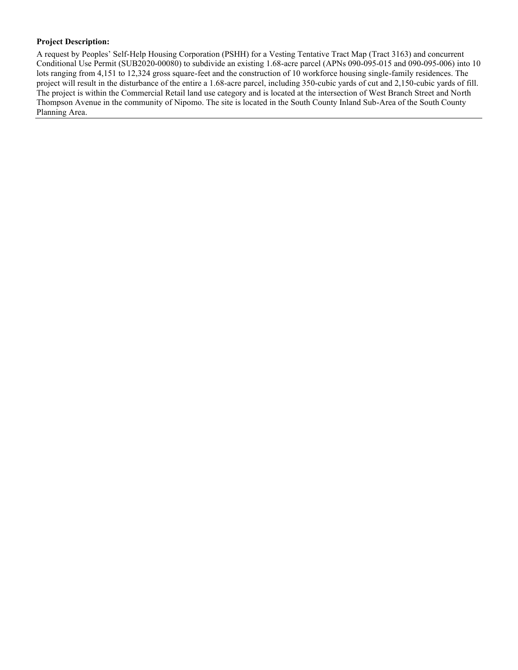## **Project Description:**

A request by Peoples' Self-Help Housing Corporation (PSHH) for a Vesting Tentative Tract Map (Tract 3163) and concurrent Conditional Use Permit (SUB2020-00080) to subdivide an existing 1.68-acre parcel (APNs 090-095-015 and 090-095-006) into 10 lots ranging from 4,151 to 12,324 gross square-feet and the construction of 10 workforce housing single-family residences. The project will result in the disturbance of the entire a 1.68-acre parcel, including 350-cubic yards of cut and 2,150-cubic yards of fill. The project is within the Commercial Retail land use category and is located at the intersection of West Branch Street and North Thompson Avenue in the community of Nipomo. The site is located in the South County Inland Sub-Area of the South County Planning Area.